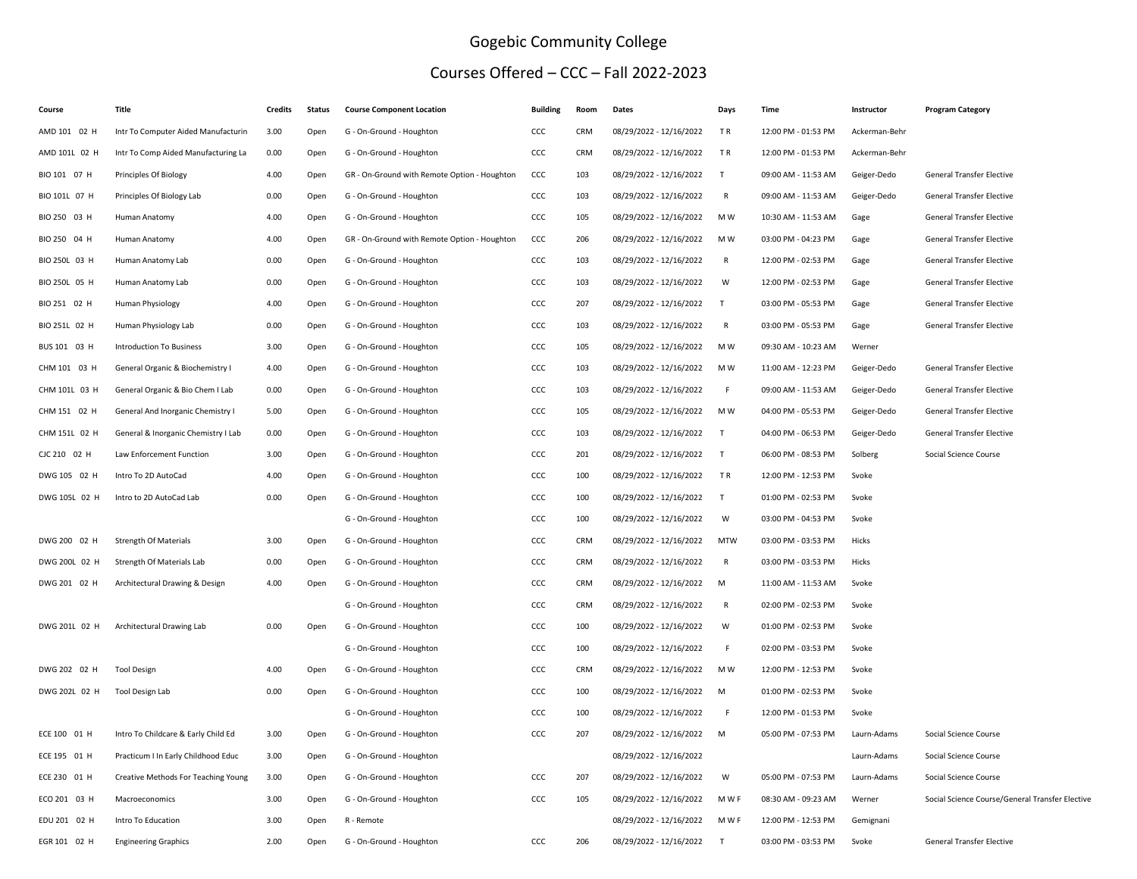## Gogebic Community College

## Courses Offered – CCC – Fall 2022-2023

| Course        | <b>Title</b>                        | <b>Credits</b> | <b>Status</b> | <b>Course Component Location</b>             | <b>Building</b> | Room       | Dates                   | Days         | <b>Time</b>         | Instructor    | <b>Program Category</b>                         |
|---------------|-------------------------------------|----------------|---------------|----------------------------------------------|-----------------|------------|-------------------------|--------------|---------------------|---------------|-------------------------------------------------|
| AMD 101 02 H  | Intr To Computer Aided Manufacturin | 3.00           | Open          | G - On-Ground - Houghton                     | CCC             | <b>CRM</b> | 08/29/2022 - 12/16/2022 | TR           | 12:00 PM - 01:53 PM | Ackerman-Behr |                                                 |
| AMD 101L 02 H | Intr To Comp Aided Manufacturing La | 0.00           | Open          | G - On-Ground - Houghton                     | CCC             | CRM        | 08/29/2022 - 12/16/2022 | <b>TR</b>    | 12:00 PM - 01:53 PM | Ackerman-Behr |                                                 |
| BIO 101 07 H  | Principles Of Biology               | 4.00           | Open          | GR - On-Ground with Remote Option - Houghton | CCC             | 103        | 08/29/2022 - 12/16/2022 | T            | 09:00 AM - 11:53 AM | Geiger-Dedo   | General Transfer Elective                       |
| BIO 101L 07 H | Principles Of Biology Lab           | 0.00           | Open          | G - On-Ground - Houghton                     | CCC             | 103        | 08/29/2022 - 12/16/2022 | $\mathsf{R}$ | 09:00 AM - 11:53 AM | Geiger-Dedo   | <b>General Transfer Elective</b>                |
| BIO 250 03 H  | Human Anatomy                       | 4.00           | Open          | G - On-Ground - Houghton                     | CCC             | 105        | 08/29/2022 - 12/16/2022 | M W          | 10:30 AM - 11:53 AM | Gage          | <b>General Transfer Elective</b>                |
| BIO 250 04 H  | Human Anatomy                       | 4.00           | Open          | GR - On-Ground with Remote Option - Houghton | CCC             | 206        | 08/29/2022 - 12/16/2022 | M W          | 03:00 PM - 04:23 PM | Gage          | General Transfer Elective                       |
| BIO 250L 03 H | Human Anatomy Lab                   | 0.00           | Open          | G - On-Ground - Houghton                     | CCC             | 103        | 08/29/2022 - 12/16/2022 | $\mathsf{R}$ | 12:00 PM - 02:53 PM | Gage          | <b>General Transfer Elective</b>                |
| BIO 250L 05 H | Human Anatomy Lab                   | 0.00           | Open          | G - On-Ground - Houghton                     | CCC             | 103        | 08/29/2022 - 12/16/2022 | W            | 12:00 PM - 02:53 PM | Gage          | <b>General Transfer Elective</b>                |
| BIO 251 02 H  | Human Physiology                    | 4.00           | Open          | G - On-Ground - Houghton                     | CCC             | 207        | 08/29/2022 - 12/16/2022 | $\top$       | 03:00 PM - 05:53 PM | Gage          | General Transfer Elective                       |
| BIO 251L 02 H | Human Physiology Lab                | 0.00           | Open          | G - On-Ground - Houghton                     | CCC             | 103        | 08/29/2022 - 12/16/2022 | R            | 03:00 PM - 05:53 PM | Gage          | <b>General Transfer Elective</b>                |
| BUS 101 03 H  | <b>Introduction To Business</b>     | 3.00           | Open          | G - On-Ground - Houghton                     | CCC             | 105        | 08/29/2022 - 12/16/2022 | M W          | 09:30 AM - 10:23 AM | Werner        |                                                 |
| CHM 101 03 H  | General Organic & Biochemistry I    | 4.00           | Open          | G - On-Ground - Houghton                     | CCC             | 103        | 08/29/2022 - 12/16/2022 | M W          | 11:00 AM - 12:23 PM | Geiger-Dedo   | <b>General Transfer Elective</b>                |
| CHM 101L 03 H | General Organic & Bio Chem I Lab    | 0.00           | Open          | G - On-Ground - Houghton                     | CCC             | 103        | 08/29/2022 - 12/16/2022 | F            | 09:00 AM - 11:53 AM | Geiger-Dedo   | <b>General Transfer Elective</b>                |
| CHM 151 02 H  | General And Inorganic Chemistry I   | 5.00           | Open          | G - On-Ground - Houghton                     | CCC             | 105        | 08/29/2022 - 12/16/2022 | M W          | 04:00 PM - 05:53 PM | Geiger-Dedo   | <b>General Transfer Elective</b>                |
| CHM 151L 02 H | General & Inorganic Chemistry I Lab | 0.00           | Open          | G - On-Ground - Houghton                     | CCC             | 103        | 08/29/2022 - 12/16/2022 | T            | 04:00 PM - 06:53 PM | Geiger-Dedo   | <b>General Transfer Elective</b>                |
| CJC 210 02 H  | Law Enforcement Function            | 3.00           | Open          | G - On-Ground - Houghton                     | CCC             | 201        | 08/29/2022 - 12/16/2022 | T            | 06:00 PM - 08:53 PM | Solberg       | Social Science Course                           |
| DWG 105 02 H  | Intro To 2D AutoCad                 | 4.00           | Open          | G - On-Ground - Houghton                     | CCC             | 100        | 08/29/2022 - 12/16/2022 | TR           | 12:00 PM - 12:53 PM | Svoke         |                                                 |
| DWG 105L 02 H | Intro to 2D AutoCad Lab             | 0.00           | Open          | G - On-Ground - Houghton                     | CCC             | 100        | 08/29/2022 - 12/16/2022 | T            | 01:00 PM - 02:53 PM | Svoke         |                                                 |
|               |                                     |                |               | G - On-Ground - Houghton                     | CCC             | 100        | 08/29/2022 - 12/16/2022 | W            | 03:00 PM - 04:53 PM | Svoke         |                                                 |
| DWG 200 02 H  | Strength Of Materials               | 3.00           | Open          | G - On-Ground - Houghton                     | CCC             | CRM        | 08/29/2022 - 12/16/2022 | <b>MTW</b>   | 03:00 PM - 03:53 PM | Hicks         |                                                 |
| DWG 200L 02 H | Strength Of Materials Lab           | 0.00           | Open          | G - On-Ground - Houghton                     | CCC             | CRM        | 08/29/2022 - 12/16/2022 | R            | 03:00 PM - 03:53 PM | Hicks         |                                                 |
| DWG 201 02 H  | Architectural Drawing & Design      | 4.00           | Open          | G - On-Ground - Houghton                     | CCC             | CRM        | 08/29/2022 - 12/16/2022 | M            | 11:00 AM - 11:53 AM | Svoke         |                                                 |
|               |                                     |                |               | G - On-Ground - Houghton                     | CCC             | CRM        | 08/29/2022 - 12/16/2022 | R            | 02:00 PM - 02:53 PM | Svoke         |                                                 |
| DWG 201L 02 H | Architectural Drawing Lab           | 0.00           | Open          | G - On-Ground - Houghton                     | CCC             | 100        | 08/29/2022 - 12/16/2022 | W            | 01:00 PM - 02:53 PM | Svoke         |                                                 |
|               |                                     |                |               | G - On-Ground - Houghton                     | CCC             | 100        | 08/29/2022 - 12/16/2022 | F            | 02:00 PM - 03:53 PM | Svoke         |                                                 |
| DWG 202 02 H  | <b>Tool Design</b>                  | 4.00           | Open          | G - On-Ground - Houghton                     | ccc             | CRM        | 08/29/2022 - 12/16/2022 | M W          | 12:00 PM - 12:53 PM | Svoke         |                                                 |
| DWG 202L 02 H | Tool Design Lab                     | 0.00           | Open          | G - On-Ground - Houghton                     | CCC             | 100        | 08/29/2022 - 12/16/2022 | M            | 01:00 PM - 02:53 PM | Svoke         |                                                 |
|               |                                     |                |               | G - On-Ground - Houghton                     | CCC             | 100        | 08/29/2022 - 12/16/2022 | E            | 12:00 PM - 01:53 PM | Svoke         |                                                 |
| ECE 100 01 H  | Intro To Childcare & Early Child Ed | 3.00           | Open          | G - On-Ground - Houghton                     | CCC             | 207        | 08/29/2022 - 12/16/2022 | M            | 05:00 PM - 07:53 PM | Laurn-Adams   | Social Science Course                           |
| ECE 195 01 H  | Practicum I In Early Childhood Educ | 3.00           | Open          | G - On-Ground - Houghton                     |                 |            | 08/29/2022 - 12/16/2022 |              |                     | Laurn-Adams   | Social Science Course                           |
| ECE 230 01 H  | Creative Methods For Teaching Young | 3.00           | Open          | G - On-Ground - Houghton                     | CCC             | 207        | 08/29/2022 - 12/16/2022 | W            | 05:00 PM - 07:53 PM | Laurn-Adams   | Social Science Course                           |
| ECO 201 03 H  | Macroeconomics                      | 3.00           | Open          | G - On-Ground - Houghton                     | CCC             | 105        | 08/29/2022 - 12/16/2022 | M W F        | 08:30 AM - 09:23 AM | Werner        | Social Science Course/General Transfer Elective |
| EDU 201 02 H  | Intro To Education                  | 3.00           | Open          | R - Remote                                   |                 |            | 08/29/2022 - 12/16/2022 | M W F        | 12:00 PM - 12:53 PM | Gemignani     |                                                 |
| EGR 101 02 H  | <b>Engineering Graphics</b>         | 2.00           | Open          | G - On-Ground - Houghton                     | CCC             | 206        | 08/29/2022 - 12/16/2022 | $\mathsf{T}$ | 03:00 PM - 03:53 PM | Svoke         | <b>General Transfer Elective</b>                |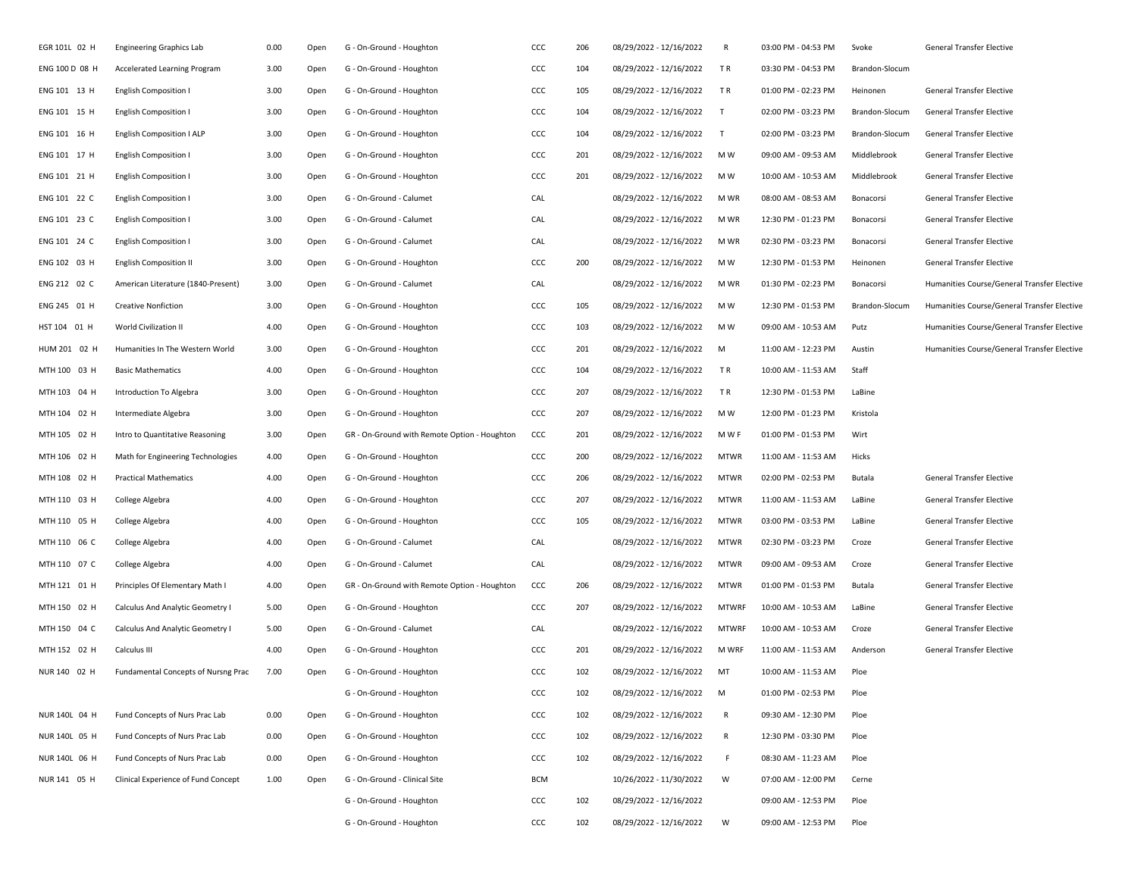| EGR 101L 02 H  | <b>Engineering Graphics Lab</b>     | 0.00 | Open | G - On-Ground - Houghton                     | CCC        | 206 | 08/29/2022 - 12/16/2022 | R            | 03:00 PM - 04:53 PM | Svoke          | General Transfer Elective                   |
|----------------|-------------------------------------|------|------|----------------------------------------------|------------|-----|-------------------------|--------------|---------------------|----------------|---------------------------------------------|
| ENG 100 D 08 H | Accelerated Learning Program        | 3.00 | Open | G - On-Ground - Houghton                     | CCC        | 104 | 08/29/2022 - 12/16/2022 | TR.          | 03:30 PM - 04:53 PM | Brandon-Slocum |                                             |
| ENG 101 13 H   | <b>English Composition I</b>        | 3.00 | Open | G - On-Ground - Houghton                     | CCC        | 105 | 08/29/2022 - 12/16/2022 | TR.          | 01:00 PM - 02:23 PM | Heinonen       | <b>General Transfer Elective</b>            |
| ENG 101 15 H   | <b>English Composition I</b>        | 3.00 | Open | G - On-Ground - Houghton                     | CCC        | 104 | 08/29/2022 - 12/16/2022 | T            | 02:00 PM - 03:23 PM | Brandon-Slocum | <b>General Transfer Elective</b>            |
| ENG 101 16 H   | English Composition I ALP           | 3.00 | Open | G - On-Ground - Houghton                     | ccc        | 104 | 08/29/2022 - 12/16/2022 | T            | 02:00 PM - 03:23 PM | Brandon-Slocum | General Transfer Elective                   |
| ENG 101 17 H   | <b>English Composition I</b>        | 3.00 | Open | G - On-Ground - Houghton                     | CCC        | 201 | 08/29/2022 - 12/16/2022 | M W          | 09:00 AM - 09:53 AM | Middlebrook    | General Transfer Elective                   |
| ENG 101 21 H   | <b>English Composition I</b>        | 3.00 | Open | G - On-Ground - Houghton                     | CCC        | 201 | 08/29/2022 - 12/16/2022 | M W          | 10:00 AM - 10:53 AM | Middlebrook    | <b>General Transfer Elective</b>            |
| ENG 101 22 C   | <b>English Composition I</b>        | 3.00 | Open | G - On-Ground - Calumet                      | CAL        |     | 08/29/2022 - 12/16/2022 | M WR         | 08:00 AM - 08:53 AM | Bonacorsi      | General Transfer Elective                   |
| ENG 101 23 C   | <b>English Composition I</b>        | 3.00 | Open | G - On-Ground - Calumet                      | CAL        |     | 08/29/2022 - 12/16/2022 | M WR         | 12:30 PM - 01:23 PM | Bonacorsi      | <b>General Transfer Elective</b>            |
| ENG 101 24 C   | <b>English Composition I</b>        | 3.00 | Open | G - On-Ground - Calumet                      | CAL        |     | 08/29/2022 - 12/16/2022 | M WR         | 02:30 PM - 03:23 PM | Bonacorsi      | General Transfer Elective                   |
| ENG 102 03 H   | <b>English Composition II</b>       | 3.00 | Open | G - On-Ground - Houghton                     | CCC        | 200 | 08/29/2022 - 12/16/2022 | M W          | 12:30 PM - 01:53 PM | Heinonen       | General Transfer Elective                   |
| ENG 212 02 C   | American Literature (1840-Present)  | 3.00 | Open | G - On-Ground - Calumet                      | CAL        |     | 08/29/2022 - 12/16/2022 | M WR         | 01:30 PM - 02:23 PM | Bonacorsi      | Humanities Course/General Transfer Elective |
| ENG 245 01 H   | <b>Creative Nonfiction</b>          | 3.00 | Open | G - On-Ground - Houghton                     | ccc        | 105 | 08/29/2022 - 12/16/2022 | M W          | 12:30 PM - 01:53 PM | Brandon-Slocum | Humanities Course/General Transfer Elective |
| HST 104 01 H   | World Civilization II               | 4.00 | Open | G - On-Ground - Houghton                     | CCC        | 103 | 08/29/2022 - 12/16/2022 | M W          | 09:00 AM - 10:53 AM | Putz           | Humanities Course/General Transfer Elective |
| HUM 201 02 H   | Humanities In The Western World     | 3.00 | Open | G - On-Ground - Houghton                     | CCC        | 201 | 08/29/2022 - 12/16/2022 | M            | 11:00 AM - 12:23 PM | Austin         | Humanities Course/General Transfer Elective |
| MTH 100 03 H   | <b>Basic Mathematics</b>            | 4.00 | Open | G - On-Ground - Houghton                     | CCC        | 104 | 08/29/2022 - 12/16/2022 | TR.          | 10:00 AM - 11:53 AM | Staff          |                                             |
| MTH 103 04 H   | Introduction To Algebra             | 3.00 | Open | G - On-Ground - Houghton                     | CCC        | 207 | 08/29/2022 - 12/16/2022 | TR.          | 12:30 PM - 01:53 PM | LaBine         |                                             |
| MTH 104 02 H   | Intermediate Algebra                | 3.00 | Open | G - On-Ground - Houghton                     | ccc        | 207 | 08/29/2022 - 12/16/2022 | M W          | 12:00 PM - 01:23 PM | Kristola       |                                             |
| MTH 105 02 H   | Intro to Quantitative Reasoning     | 3.00 | Open | GR - On-Ground with Remote Option - Houghton | CCC        | 201 | 08/29/2022 - 12/16/2022 | M W F        | 01:00 PM - 01:53 PM | Wirt           |                                             |
| MTH 106 02 H   | Math for Engineering Technologies   | 4.00 | Open | G - On-Ground - Houghton                     | CCC        | 200 | 08/29/2022 - 12/16/2022 | <b>MTWR</b>  | 11:00 AM - 11:53 AM | Hicks          |                                             |
| MTH 108 02 H   | <b>Practical Mathematics</b>        | 4.00 | Open | G - On-Ground - Houghton                     | CCC        | 206 | 08/29/2022 - 12/16/2022 | <b>MTWR</b>  | 02:00 PM - 02:53 PM | Butala         | General Transfer Elective                   |
| MTH 110 03 H   | College Algebra                     | 4.00 | Open | G - On-Ground - Houghton                     | CCC        | 207 | 08/29/2022 - 12/16/2022 | <b>MTWR</b>  | 11:00 AM - 11:53 AM | LaBine         | General Transfer Elective                   |
| MTH 110 05 H   | College Algebra                     | 4.00 | Open | G - On-Ground - Houghton                     | ccc        | 105 | 08/29/2022 - 12/16/2022 | <b>MTWR</b>  | 03:00 PM - 03:53 PM | LaBine         | General Transfer Elective                   |
| MTH 110 06 C   | College Algebra                     | 4.00 | Open | G - On-Ground - Calumet                      | CAL        |     | 08/29/2022 - 12/16/2022 | <b>MTWR</b>  | 02:30 PM - 03:23 PM | Croze          | General Transfer Elective                   |
| MTH 110 07 C   | College Algebra                     | 4.00 | Open | G - On-Ground - Calumet                      | CAL        |     | 08/29/2022 - 12/16/2022 | <b>MTWR</b>  | 09:00 AM - 09:53 AM | Croze          | General Transfer Elective                   |
| MTH 121 01 H   | Principles Of Elementary Math I     | 4.00 | Open | GR - On-Ground with Remote Option - Houghton | ccc        | 206 | 08/29/2022 - 12/16/2022 | <b>MTWR</b>  | 01:00 PM - 01:53 PM | Butala         | General Transfer Elective                   |
| MTH 150 02 H   | Calculus And Analytic Geometry I    | 5.00 | Open | G - On-Ground - Houghton                     | CCC        | 207 | 08/29/2022 - 12/16/2022 | <b>MTWRF</b> | 10:00 AM - 10:53 AM | LaBine         | General Transfer Elective                   |
| MTH 150 04 C   | Calculus And Analytic Geometry I    | 5.00 | Open | G - On-Ground - Calumet                      | CAL        |     | 08/29/2022 - 12/16/2022 | <b>MTWRF</b> | 10:00 AM - 10:53 AM | Croze          | General Transfer Elective                   |
| MTH 152 02 H   | Calculus III                        | 4.00 | Open | G - On-Ground - Houghton                     | ccc        | 201 | 08/29/2022 - 12/16/2022 | <b>M WRF</b> | 11:00 AM - 11:53 AM | Anderson       | General Transfer Elective                   |
| NUR 140 02 H   | Fundamental Concepts of Nursng Prac | 7.00 | Open | G - On-Ground - Houghton                     | ccc        | 102 | 08/29/2022 - 12/16/2022 | MT           | 10:00 AM - 11:53 AM | Ploe           |                                             |
|                |                                     |      |      | G - On-Ground - Houghton                     | CCC        | 102 | 08/29/2022 - 12/16/2022 | M            | 01:00 PM - 02:53 PM | Ploe           |                                             |
| NUR 140L 04 H  | Fund Concepts of Nurs Prac Lab      | 0.00 | Open | G - On-Ground - Houghton                     | CCC        | 102 | 08/29/2022 - 12/16/2022 | R            | 09:30 AM - 12:30 PM | Ploe           |                                             |
| NUR 140L 05 H  | Fund Concepts of Nurs Prac Lab      | 0.00 | Open | G - On-Ground - Houghton                     | CCC        | 102 | 08/29/2022 - 12/16/2022 | R            | 12:30 PM - 03:30 PM | Ploe           |                                             |
| NUR 140L 06 H  | Fund Concepts of Nurs Prac Lab      | 0.00 | Open | G - On-Ground - Houghton                     | CCC        | 102 | 08/29/2022 - 12/16/2022 | -F           | 08:30 AM - 11:23 AM | Ploe           |                                             |
| NUR 141 05 H   | Clinical Experience of Fund Concept | 1.00 | Open | G - On-Ground - Clinical Site                | <b>BCM</b> |     | 10/26/2022 - 11/30/2022 | W            | 07:00 AM - 12:00 PM | Cerne          |                                             |
|                |                                     |      |      | G - On-Ground - Houghton                     | CCC        | 102 | 08/29/2022 - 12/16/2022 |              | 09:00 AM - 12:53 PM | Ploe           |                                             |
|                |                                     |      |      | G - On-Ground - Houghton                     | CCC        | 102 | 08/29/2022 - 12/16/2022 | W            | 09:00 AM - 12:53 PM | Ploe           |                                             |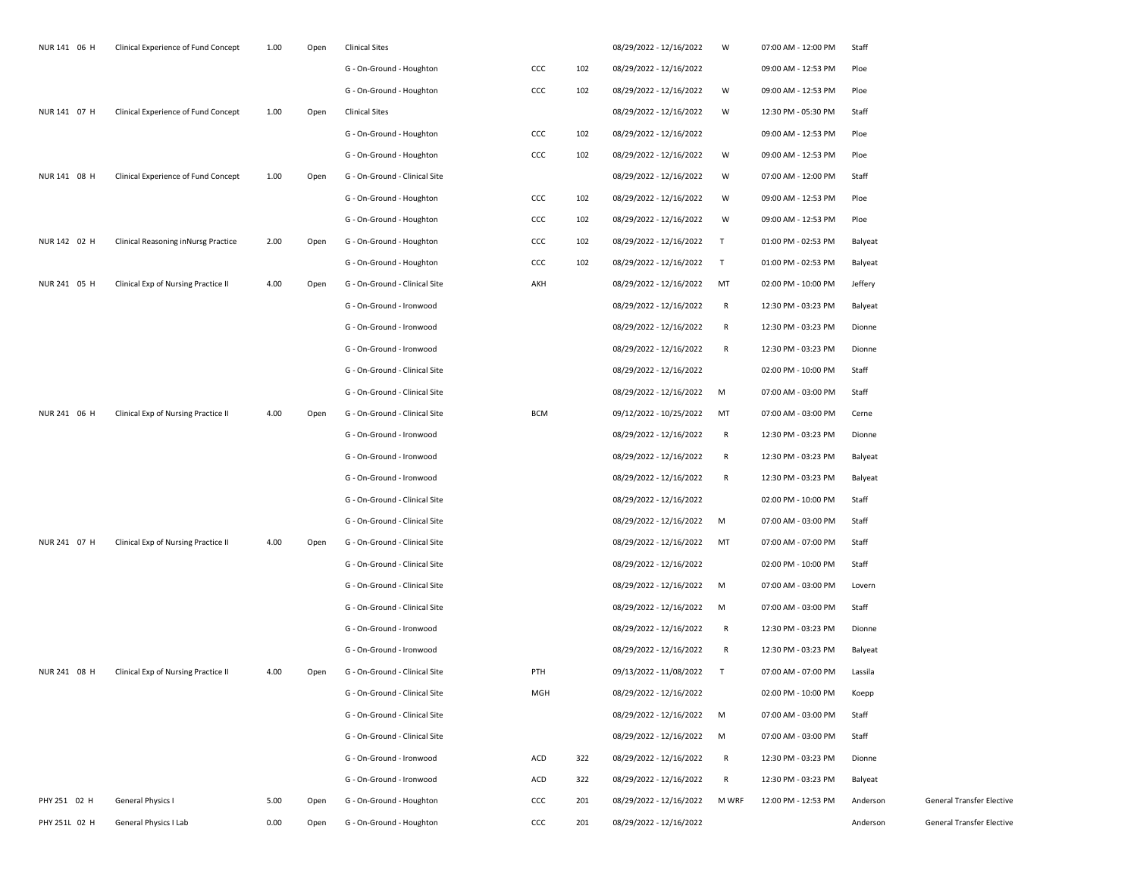| NUR 141 06 H  | Clinical Experience of Fund Concept | 1.00 | Open | <b>Clinical Sites</b>         |            |     | 08/29/2022 - 12/16/2022   | W      | 07:00 AM - 12:00 PM | Staff    |                           |
|---------------|-------------------------------------|------|------|-------------------------------|------------|-----|---------------------------|--------|---------------------|----------|---------------------------|
|               |                                     |      |      | G - On-Ground - Houghton      | ccc        | 102 | 08/29/2022 - 12/16/2022   |        | 09:00 AM - 12:53 PM | Ploe     |                           |
|               |                                     |      |      | G - On-Ground - Houghton      | ccc        | 102 | 08/29/2022 - 12/16/2022   | W      | 09:00 AM - 12:53 PM | Ploe     |                           |
| NUR 141 07 H  | Clinical Experience of Fund Concept | 1.00 | Open | <b>Clinical Sites</b>         |            |     | 08/29/2022 - 12/16/2022   | W      | 12:30 PM - 05:30 PM | Staff    |                           |
|               |                                     |      |      | G - On-Ground - Houghton      | ccc        | 102 | 08/29/2022 - 12/16/2022   |        | 09:00 AM - 12:53 PM | Ploe     |                           |
|               |                                     |      |      | G - On-Ground - Houghton      | ccc        | 102 | 08/29/2022 - 12/16/2022   | W      | 09:00 AM - 12:53 PM | Ploe     |                           |
| NUR 141 08 H  | Clinical Experience of Fund Concept | 1.00 | Open | G - On-Ground - Clinical Site |            |     | 08/29/2022 - 12/16/2022   | W      | 07:00 AM - 12:00 PM | Staff    |                           |
|               |                                     |      |      | G - On-Ground - Houghton      | ccc        | 102 | 08/29/2022 - 12/16/2022   | W      | 09:00 AM - 12:53 PM | Ploe     |                           |
|               |                                     |      |      | G - On-Ground - Houghton      | CCC        | 102 | 08/29/2022 - 12/16/2022   | W      | 09:00 AM - 12:53 PM | Ploe     |                           |
| NUR 142 02 H  | Clinical Reasoning inNursg Practice | 2.00 | Open | G - On-Ground - Houghton      | ccc        | 102 | 08/29/2022 - 12/16/2022   | T      | 01:00 PM - 02:53 PM | Balyeat  |                           |
|               |                                     |      |      | G - On-Ground - Houghton      | ccc        | 102 | 08/29/2022 - 12/16/2022   | $\top$ | 01:00 PM - 02:53 PM | Balyeat  |                           |
| NUR 241 05 H  | Clinical Exp of Nursing Practice II | 4.00 | Open | G - On-Ground - Clinical Site | AKH        |     | 08/29/2022 - 12/16/2022   | MT     | 02:00 PM - 10:00 PM | Jeffery  |                           |
|               |                                     |      |      | G - On-Ground - Ironwood      |            |     | 08/29/2022 - 12/16/2022   | R      | 12:30 PM - 03:23 PM | Balyeat  |                           |
|               |                                     |      |      | G - On-Ground - Ironwood      |            |     | 08/29/2022 - 12/16/2022   | R      | 12:30 PM - 03:23 PM | Dionne   |                           |
|               |                                     |      |      | G - On-Ground - Ironwood      |            |     | 08/29/2022 - 12/16/2022   | R      | 12:30 PM - 03:23 PM | Dionne   |                           |
|               |                                     |      |      | G - On-Ground - Clinical Site |            |     | 08/29/2022 - 12/16/2022   |        | 02:00 PM - 10:00 PM | Staff    |                           |
|               |                                     |      |      | G - On-Ground - Clinical Site |            |     | 08/29/2022 - 12/16/2022   | M      | 07:00 AM - 03:00 PM | Staff    |                           |
| NUR 241 06 H  | Clinical Exp of Nursing Practice II | 4.00 | Open | G - On-Ground - Clinical Site | <b>BCM</b> |     | 09/12/2022 - 10/25/2022   | MT     | 07:00 AM - 03:00 PM | Cerne    |                           |
|               |                                     |      |      | G - On-Ground - Ironwood      |            |     | 08/29/2022 - 12/16/2022   | R      | 12:30 PM - 03:23 PM | Dionne   |                           |
|               |                                     |      |      | G - On-Ground - Ironwood      |            |     | 08/29/2022 - 12/16/2022   | R      | 12:30 PM - 03:23 PM | Balyeat  |                           |
|               |                                     |      |      | G - On-Ground - Ironwood      |            |     | 08/29/2022 - 12/16/2022   | R      | 12:30 PM - 03:23 PM | Balyeat  |                           |
|               |                                     |      |      | G - On-Ground - Clinical Site |            |     | 08/29/2022 - 12/16/2022   |        | 02:00 PM - 10:00 PM | Staff    |                           |
|               |                                     |      |      | G - On-Ground - Clinical Site |            |     | 08/29/2022 - 12/16/2022   | M      | 07:00 AM - 03:00 PM | Staff    |                           |
| NUR 241 07 H  | Clinical Exp of Nursing Practice II | 4.00 | Open | G - On-Ground - Clinical Site |            |     | 08/29/2022 - 12/16/2022   | MT     | 07:00 AM - 07:00 PM | Staff    |                           |
|               |                                     |      |      | G - On-Ground - Clinical Site |            |     | 08/29/2022 - 12/16/2022   |        | 02:00 PM - 10:00 PM | Staff    |                           |
|               |                                     |      |      | G - On-Ground - Clinical Site |            |     | 08/29/2022 - 12/16/2022   | M      | 07:00 AM - 03:00 PM | Lovern   |                           |
|               |                                     |      |      | G - On-Ground - Clinical Site |            |     | 08/29/2022 - 12/16/2022   | M      | 07:00 AM - 03:00 PM | Staff    |                           |
|               |                                     |      |      | G - On-Ground - Ironwood      |            |     | 08/29/2022 - 12/16/2022   | R      | 12:30 PM - 03:23 PM | Dionne   |                           |
|               |                                     |      |      | G - On-Ground - Ironwood      |            |     | 08/29/2022 - 12/16/2022   | R      | 12:30 PM - 03:23 PM | Balyeat  |                           |
| NUR 241 08 H  | Clinical Exp of Nursing Practice II | 4.00 | Open | G - On-Ground - Clinical Site | PTH        |     | 09/13/2022 - 11/08/2022   | $\top$ | 07:00 AM - 07:00 PM | Lassila  |                           |
|               |                                     |      |      | G - On-Ground - Clinical Site | MGH        |     | 08/29/2022 - 12/16/2022   |        | 02:00 PM - 10:00 PM | Koepp    |                           |
|               |                                     |      |      | G - On-Ground - Clinical Site |            |     | 08/29/2022 - 12/16/2022 M |        | 07:00 AM - 03:00 PM | Staff    |                           |
|               |                                     |      |      | G - On-Ground - Clinical Site |            |     | 08/29/2022 - 12/16/2022   | M      | 07:00 AM - 03:00 PM | Staff    |                           |
|               |                                     |      |      | G - On-Ground - Ironwood      | ACD        | 322 | 08/29/2022 - 12/16/2022   | R      | 12:30 PM - 03:23 PM | Dionne   |                           |
|               |                                     |      |      | G - On-Ground - Ironwood      | ACD        | 322 | 08/29/2022 - 12/16/2022   | R      | 12:30 PM - 03:23 PM | Balyeat  |                           |
| PHY 251 02 H  | <b>General Physics I</b>            | 5.00 | Open | G - On-Ground - Houghton      | CCC        | 201 | 08/29/2022 - 12/16/2022   | M WRF  | 12:00 PM - 12:53 PM | Anderson | General Transfer Elective |
| PHY 251L 02 H | General Physics I Lab               | 0.00 | Open | G - On-Ground - Houghton      | ccc        | 201 | 08/29/2022 - 12/16/2022   |        |                     | Anderson | General Transfer Elective |